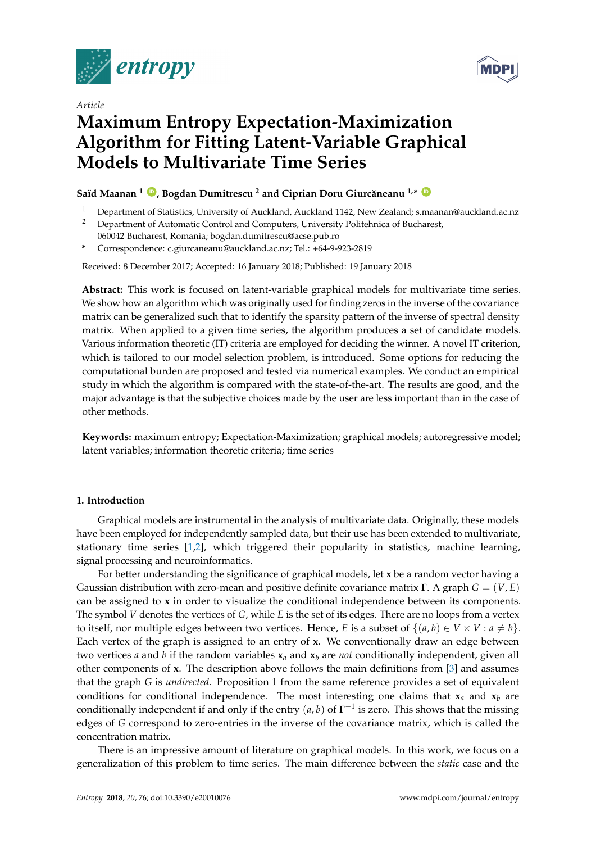



# *Article* **Maximum Entropy Expectation-Maximization Algorithm for Fitting Latent-Variable Graphical Models to Multivariate Time Series**

# $\mathbf{S}$ aïd Maanan  $1\heartsuit$ , Bogdan Dumitrescu  $^2$  and Ciprian Doru Giurcăneanu  $^{1,*}$   $\heartsuit$

- <sup>1</sup> Department of Statistics, University of Auckland, Auckland 1142, New Zealand; s.maanan@auckland.ac.nz
- <sup>2</sup> Department of Automatic Control and Computers, University Politehnica of Bucharest,
- 060042 Bucharest, Romania; bogdan.dumitrescu@acse.pub.ro **\*** Correspondence: c.giurcaneanu@auckland.ac.nz; Tel.: +64-9-923-2819
- Received: 8 December 2017; Accepted: 16 January 2018; Published: 19 January 2018

**Abstract:** This work is focused on latent-variable graphical models for multivariate time series. We show how an algorithm which was originally used for finding zeros in the inverse of the covariance matrix can be generalized such that to identify the sparsity pattern of the inverse of spectral density matrix. When applied to a given time series, the algorithm produces a set of candidate models. Various information theoretic (IT) criteria are employed for deciding the winner. A novel IT criterion, which is tailored to our model selection problem, is introduced. Some options for reducing the computational burden are proposed and tested via numerical examples. We conduct an empirical study in which the algorithm is compared with the state-of-the-art. The results are good, and the major advantage is that the subjective choices made by the user are less important than in the case of other methods.

**Keywords:** maximum entropy; Expectation-Maximization; graphical models; autoregressive model; latent variables; information theoretic criteria; time series

# **1. Introduction**

Graphical models are instrumental in the analysis of multivariate data. Originally, these models have been employed for independently sampled data, but their use has been extended to multivariate, stationary time series [\[1](#page-18-0)[,2\]](#page-18-1), which triggered their popularity in statistics, machine learning, signal processing and neuroinformatics.

For better understanding the significance of graphical models, let **x** be a random vector having a Gaussian distribution with zero-mean and positive definite covariance matrix **Γ**. A graph *G* = (*V*, *E*) can be assigned to **x** in order to visualize the conditional independence between its components. The symbol *V* denotes the vertices of *G*, while *E* is the set of its edges. There are no loops from a vertex to itself, nor multiple edges between two vertices. Hence, *E* is a subset of  $\{(a, b) \in V \times V : a \neq b\}$ . Each vertex of the graph is assigned to an entry of **x**. We conventionally draw an edge between two vertices *a* and *b* if the random variables  $x_a$  and  $x_b$  are *not* conditionally independent, given all other components of **x**. The description above follows the main definitions from [\[3\]](#page-18-2) and assumes that the graph *G* is *undirected*. Proposition 1 from the same reference provides a set of equivalent conditions for conditional independence. The most interesting one claims that  $x_a$  and  $x_b$  are conditionally independent if and only if the entry (*a*, *b*) of **Γ** −1 is zero. This shows that the missing edges of *G* correspond to zero-entries in the inverse of the covariance matrix, which is called the concentration matrix.

There is an impressive amount of literature on graphical models. In this work, we focus on a generalization of this problem to time series. The main difference between the *static* case and the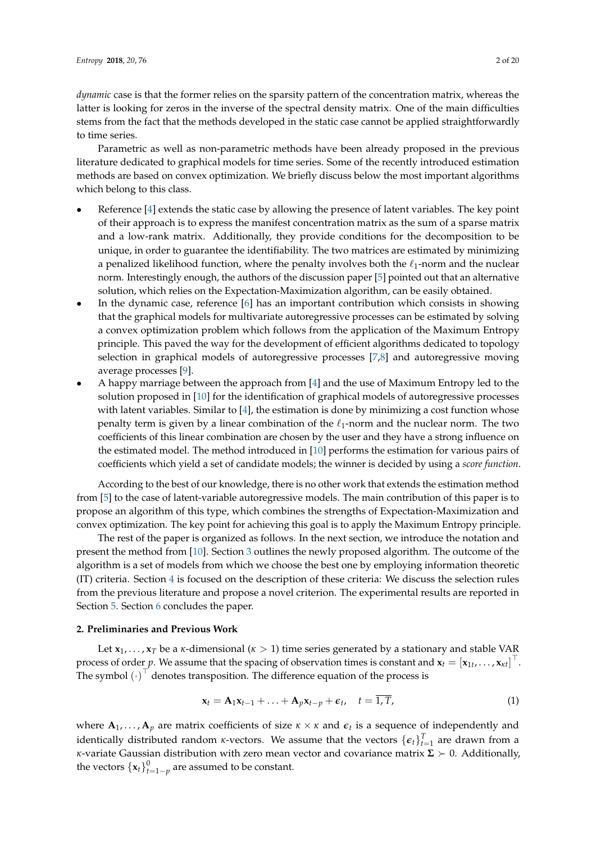*dynamic* case is that the former relies on the sparsity pattern of the concentration matrix, whereas the latter is looking for zeros in the inverse of the spectral density matrix. One of the main difficulties stems from the fact that the methods developed in the static case cannot be applied straightforwardly to time series.

Parametric as well as non-parametric methods have been already proposed in the previous literature dedicated to graphical models for time series. Some of the recently introduced estimation methods are based on convex optimization. We briefly discuss below the most important algorithms which belong to this class.

- Reference [\[4\]](#page-18-3) extends the static case by allowing the presence of latent variables. The key point of their approach is to express the manifest concentration matrix as the sum of a sparse matrix and a low-rank matrix. Additionally, they provide conditions for the decomposition to be unique, in order to guarantee the identifiability. The two matrices are estimated by minimizing a penalized likelihood function, where the penalty involves both the  $\ell_1$ -norm and the nuclear norm. Interestingly enough, the authors of the discussion paper [\[5\]](#page-18-4) pointed out that an alternative solution, which relies on the Expectation-Maximization algorithm, can be easily obtained.
- In the dynamic case, reference [\[6\]](#page-18-5) has an important contribution which consists in showing that the graphical models for multivariate autoregressive processes can be estimated by solving a convex optimization problem which follows from the application of the Maximum Entropy principle. This paved the way for the development of efficient algorithms dedicated to topology selection in graphical models of autoregressive processes [\[7](#page-18-6)[,8\]](#page-18-7) and autoregressive moving average processes [\[9\]](#page-18-8).
- A happy marriage between the approach from [\[4\]](#page-18-3) and the use of Maximum Entropy led to the solution proposed in [\[10\]](#page-18-9) for the identification of graphical models of autoregressive processes with latent variables. Similar to [\[4\]](#page-18-3), the estimation is done by minimizing a cost function whose penalty term is given by a linear combination of the  $\ell_1$ -norm and the nuclear norm. The two coefficients of this linear combination are chosen by the user and they have a strong influence on the estimated model. The method introduced in [\[10\]](#page-18-9) performs the estimation for various pairs of coefficients which yield a set of candidate models; the winner is decided by using a *score function*.

According to the best of our knowledge, there is no other work that extends the estimation method from [\[5\]](#page-18-4) to the case of latent-variable autoregressive models. The main contribution of this paper is to propose an algorithm of this type, which combines the strengths of Expectation-Maximization and convex optimization. The key point for achieving this goal is to apply the Maximum Entropy principle.

The rest of the paper is organized as follows. In the next section, we introduce the notation and present the method from [\[10\]](#page-18-9). Section [3](#page-3-0) outlines the newly proposed algorithm. The outcome of the algorithm is a set of models from which we choose the best one by employing information theoretic (IT) criteria. Section [4](#page-7-0) is focused on the description of these criteria: We discuss the selection rules from the previous literature and propose a novel criterion. The experimental results are reported in Section [5.](#page-9-0) Section [6](#page-17-0) concludes the paper.

## **2. Preliminaries and Previous Work**

Let  $x_1, \ldots, x_T$  be a *κ*-dimensional ( $\kappa > 1$ ) time series generated by a stationary and stable VAR process of order *p*. We assume that the spacing of observation times is constant and  $\mathbf{x}_t = [\mathbf{x}_{1t}, \dots, \mathbf{x}_{kt}]^\top$ . The symbol  $(\cdot)^{\top}$  denotes transposition. The difference equation of the process is

<span id="page-1-0"></span>
$$
\mathbf{x}_t = \mathbf{A}_1 \mathbf{x}_{t-1} + \ldots + \mathbf{A}_p \mathbf{x}_{t-p} + \boldsymbol{\epsilon}_t, \quad t = \overline{1, T}, \tag{1}
$$

where  $A_1, \ldots, A_p$  are matrix coefficients of size  $\kappa \times \kappa$  and  $\epsilon_t$  is a sequence of independently and identically distributed random *κ*-vectors. We assume that the vectors  $\{\boldsymbol{\epsilon}_t\}_{t=1}^T$  are drawn from a *κ*-variate Gaussian distribution with zero mean vector and covariance matrix  $\Sigma > 0$ . Additionally, the vectors  $\left\{\mathbf{x}_t\right\}_{t=1-p}^0$  are assumed to be constant.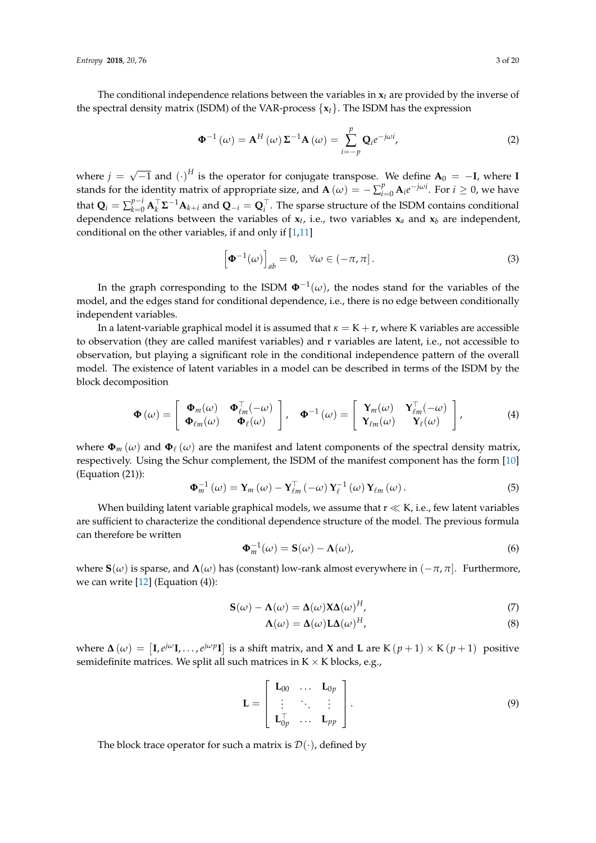The conditional independence relations between the variables in  $x_t$  are provided by the inverse of the spectral density matrix (ISDM) of the VAR-process {**x***t*}. The ISDM has the expression

<span id="page-2-3"></span>
$$
\Phi^{-1}(\omega) = \mathbf{A}^{H}(\omega) \Sigma^{-1} \mathbf{A}(\omega) = \sum_{i=-p}^{p} \mathbf{Q}_{i} e^{-j\omega i},
$$
\n(2)

where  $j =$ √  $\overline{-1}$  and  $(\cdot)^H$  is the operator for conjugate transpose. We define  $A_0 = -I$ , where **I** stands for the identity matrix of appropriate size, and  $\mathbf{A}(\omega) = -\sum_{i=0}^{p} \mathbf{A}_i e^{-j\omega i}$ . For  $i \ge 0$ , we have that  $Q_i = \sum_{k=0}^{p-i} A_k^\top \Sigma^{-1} A_{k+i}$  and  $Q_{-i} = Q_i^\top$ . The sparse structure of the ISDM contains conditional dependence relations between the variables of **x***t* , i.e., two variables **x***<sup>a</sup>* and **x***<sup>b</sup>* are independent, conditional on the other variables, if and only if  $[1,11]$  $[1,11]$ 

$$
\left[\mathbf{\Phi}^{-1}(\omega)\right]_{ab} = 0, \quad \forall \omega \in (-\pi, \pi]. \tag{3}
$$

In the graph corresponding to the ISDM  $\Phi^{-1}(\omega)$ , the nodes stand for the variables of the model, and the edges stand for conditional dependence, i.e., there is no edge between conditionally independent variables.

In a latent-variable graphical model it is assumed that  $\kappa = K + r$ , where K variables are accessible to observation (they are called manifest variables) and r variables are latent, i.e., not accessible to observation, but playing a significant role in the conditional independence pattern of the overall model. The existence of latent variables in a model can be described in terms of the ISDM by the block decomposition

<span id="page-2-2"></span>
$$
\Phi(\omega) = \begin{bmatrix} \Phi_m(\omega) & \Phi_{\ell m}^{\top}(-\omega) \\ \Phi_{\ell m}(\omega) & \Phi_{\ell}(\omega) \end{bmatrix}, \quad \Phi^{-1}(\omega) = \begin{bmatrix} Y_m(\omega) & Y_{\ell m}^{\top}(-\omega) \\ Y_{\ell m}(\omega) & Y_{\ell}(\omega) \end{bmatrix},
$$
(4)

where  $\Phi_m(\omega)$  and  $\Phi_\ell(\omega)$  are the manifest and latent components of the spectral density matrix, respectively. Using the Schur complement, the ISDM of the manifest component has the form [\[10\]](#page-18-9) (Equation (21)):

<span id="page-2-1"></span>
$$
\mathbf{\Phi}_{m}^{-1}\left(\omega\right)=\mathbf{Y}_{m}\left(\omega\right)-\mathbf{Y}_{\ell m}^{\top}\left(-\omega\right)\mathbf{Y}_{\ell}^{-1}\left(\omega\right)\mathbf{Y}_{\ell m}\left(\omega\right).
$$
\n(5)

When building latent variable graphical models, we assume that  $r \ll K$ , i.e., few latent variables are sufficient to characterize the conditional dependence structure of the model. The previous formula can therefore be written

$$
\Phi_m^{-1}(\omega) = \mathbf{S}(\omega) - \Lambda(\omega),\tag{6}
$$

where  $\mathbf{S}(\omega)$  is sparse, and  $\mathbf{\Lambda}(\omega)$  has (constant) low-rank almost everywhere in  $(-\pi, \pi]$ . Furthermore, we can write  $[12]$  (Equation  $(4)$ ):

$$
\mathbf{S}(\omega) - \mathbf{\Lambda}(\omega) = \mathbf{\Delta}(\omega) \mathbf{X} \mathbf{\Delta}(\omega)^H,
$$
\n(7)

<span id="page-2-0"></span>
$$
\Lambda(\omega) = \Delta(\omega) L \Delta(\omega)^H,
$$
\n(8)

where  $\Delta(\omega) = [I, e^{j\omega}I, \dots, e^{j\omega p}I]$  is a shift matrix, and **X** and **L** are K  $(p+1) \times K(p+1)$  positive semidefinite matrices. We split all such matrices in  $K \times K$  blocks, e.g.,

$$
\mathbf{L} = \begin{bmatrix} \mathbf{L}_{00} & \cdots & \mathbf{L}_{0p} \\ \vdots & \ddots & \vdots \\ \mathbf{L}_{0p}^{\top} & \cdots & \mathbf{L}_{pp} \end{bmatrix} . \tag{9}
$$

The block trace operator for such a matrix is  $\mathcal{D}(\cdot)$ , defined by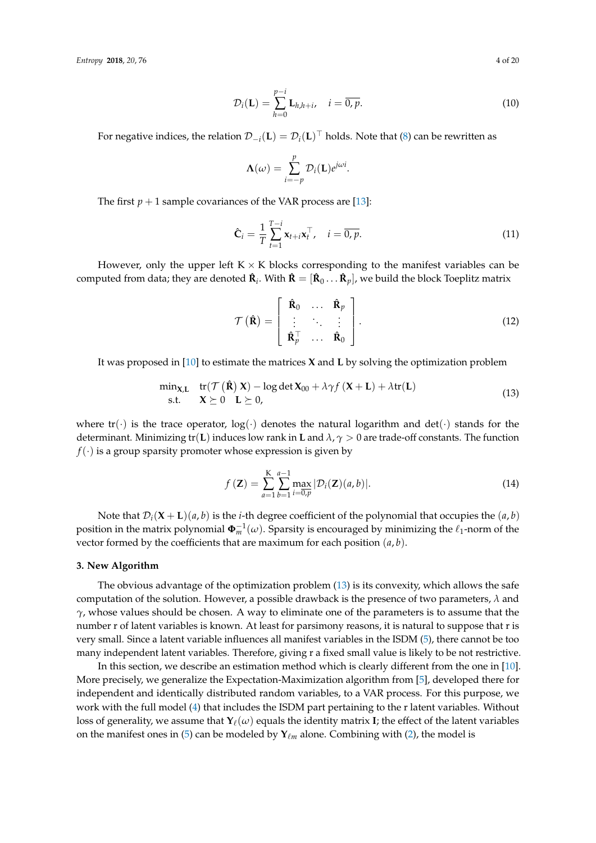$$
\mathcal{D}_i(\mathbf{L}) = \sum_{h=0}^{p-i} \mathbf{L}_{h,h+i}, \quad i = \overline{0, p}.
$$
 (10)

For negative indices, the relation  $\mathcal{D}_{-i}(\mathbf{L}) = \mathcal{D}_i(\mathbf{L})^\top$  holds. Note that [\(8\)](#page-2-0) can be rewritten as

$$
\Lambda(\omega) = \sum_{i=-p}^{p} \mathcal{D}_i(\mathbf{L}) e^{j\omega i}.
$$

The first  $p + 1$  sample covariances of the VAR process are [\[13\]](#page-18-12):

<span id="page-3-2"></span>
$$
\hat{\mathbf{C}}_i = \frac{1}{T} \sum_{t=1}^{T-i} \mathbf{x}_{t+i} \mathbf{x}_t^{\top}, \quad i = \overline{0, p}.\tag{11}
$$

However, only the upper left  $K \times K$  blocks corresponding to the manifest variables can be computed from data; they are denoted  $\hat{\bf R}_i$ . With  $\hat{\bf R}=[\hat{\bf R}_0 \dots \hat{\bf R}_p]$ , we build the block Toeplitz matrix

<span id="page-3-3"></span>
$$
\mathcal{T}(\hat{\mathbf{R}}) = \begin{bmatrix} \hat{\mathbf{R}}_0 & \dots & \hat{\mathbf{R}}_p \\ \vdots & \ddots & \vdots \\ \hat{\mathbf{R}}_p^{\top} & \dots & \hat{\mathbf{R}}_0 \end{bmatrix} .
$$
 (12)

It was proposed in [\[10\]](#page-18-9) to estimate the matrices **X** and **L** by solving the optimization problem

<span id="page-3-1"></span>
$$
\min_{\mathbf{X}, \mathbf{L}} \quad \text{tr}(\mathcal{T}(\hat{\mathbf{R}}) \mathbf{X}) - \log \det \mathbf{X}_{00} + \lambda \gamma f(\mathbf{X} + \mathbf{L}) + \lambda \text{tr}(\mathbf{L})
$$
\n
$$
\text{s.t.} \quad \mathbf{X} \succeq 0 \quad \mathbf{L} \succeq 0, \tag{13}
$$

where  $tr(\cdot)$  is the trace operator,  $log(\cdot)$  denotes the natural logarithm and  $det(\cdot)$  stands for the determinant. Minimizing tr(**L**) induces low rank in **L** and *λ*, *γ* > 0 are trade-off constants. The function  $f(\cdot)$  is a group sparsity promoter whose expression is given by

<span id="page-3-4"></span>
$$
f(\mathbf{Z}) = \sum_{a=1}^{K} \sum_{b=1}^{a-1} \max_{i=0,p} |\mathcal{D}_i(\mathbf{Z})(a,b)|.
$$
 (14)

Note that  $\mathcal{D}_i(\mathbf{X} + \mathbf{L})(a, b)$  is the *i*-th degree coefficient of the polynomial that occupies the  $(a, b)$ position in the matrix polynomial  $\pmb{\Phi}_{m}^{-1}(\omega)$ . Sparsity is encouraged by minimizing the  $\ell_1$ -norm of the vector formed by the coefficients that are maximum for each position (*a*, *b*).

## <span id="page-3-0"></span>**3. New Algorithm**

The obvious advantage of the optimization problem [\(13\)](#page-3-1) is its convexity, which allows the safe computation of the solution. However, a possible drawback is the presence of two parameters, *λ* and *γ*, whose values should be chosen. A way to eliminate one of the parameters is to assume that the number r of latent variables is known. At least for parsimony reasons, it is natural to suppose that r is very small. Since a latent variable influences all manifest variables in the ISDM [\(5\)](#page-2-1), there cannot be too many independent latent variables. Therefore, giving r a fixed small value is likely to be not restrictive.

In this section, we describe an estimation method which is clearly different from the one in [\[10\]](#page-18-9). More precisely, we generalize the Expectation-Maximization algorithm from [\[5\]](#page-18-4), developed there for independent and identically distributed random variables, to a VAR process. For this purpose, we work with the full model [\(4\)](#page-2-2) that includes the ISDM part pertaining to the r latent variables. Without loss of generality, we assume that  $\mathbf{Y}_{\ell}(\omega)$  equals the identity matrix **I**; the effect of the latent variables on the manifest ones in [\(5\)](#page-2-1) can be modeled by **Υ**<sup>*m*</sup> alone. Combining with [\(2\)](#page-2-3), the model is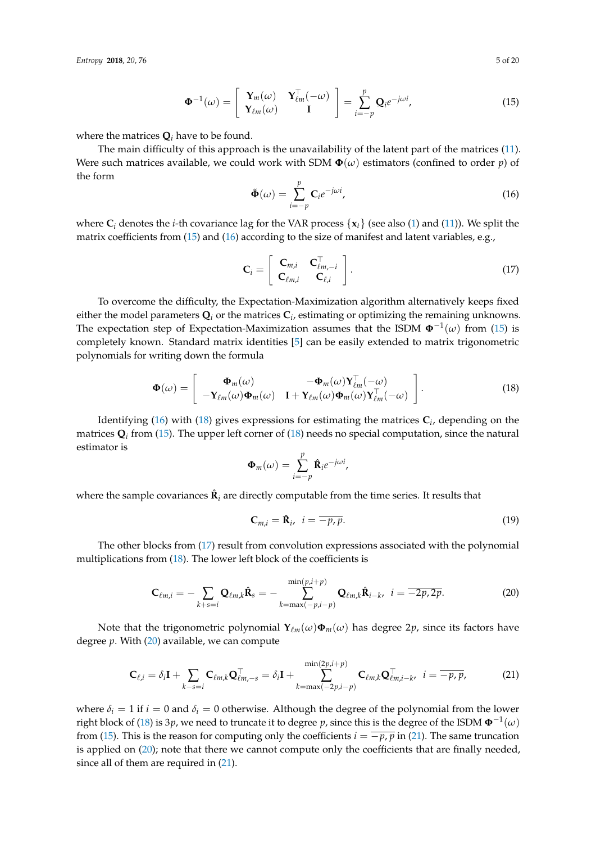*Entropy* **2018**, *20*, 76 5 of 20

<span id="page-4-0"></span>
$$
\mathbf{\Phi}^{-1}(\omega) = \begin{bmatrix} \mathbf{Y}_m(\omega) & \mathbf{Y}_{\ell m}^{\top}(-\omega) \\ \mathbf{Y}_{\ell m}(\omega) & \mathbf{I} \end{bmatrix} = \sum_{i=-p}^p \mathbf{Q}_i e^{-j\omega i},
$$
(15)

where the matrices  $Q_i$  have to be found.

The main difficulty of this approach is the unavailability of the latent part of the matrices [\(11\)](#page-3-2). Were such matrices available, we could work with SDM  $\Phi(\omega)$  estimators (confined to order *p*) of the form

<span id="page-4-1"></span>
$$
\tilde{\Phi}(\omega) = \sum_{i=-p}^{p} \mathbf{C}_{i} e^{-j\omega i}, \qquad (16)
$$

where  $C_i$  denotes the *i*-th covariance lag for the VAR process  $\{x_t\}$  (see also [\(1\)](#page-1-0) and [\(11\)](#page-3-2)). We split the matrix coefficients from [\(15\)](#page-4-0) and [\(16\)](#page-4-1) according to the size of manifest and latent variables, e.g.,

<span id="page-4-3"></span>
$$
\mathbf{C}_{i} = \left[ \begin{array}{cc} \mathbf{C}_{m,i} & \mathbf{C}_{\ell m,-i}^{\top} \\ \mathbf{C}_{\ell m,i} & \mathbf{C}_{\ell,i} \end{array} \right]. \tag{17}
$$

To overcome the difficulty, the Expectation-Maximization algorithm alternatively keeps fixed either the model parameters  $\mathbf{Q}_i$  or the matrices  $\mathbf{C}_i$ , estimating or optimizing the remaining unknowns. The expectation step of Expectation-Maximization assumes that the ISDM **Φ**−<sup>1</sup> (*ω*) from [\(15\)](#page-4-0) is completely known. Standard matrix identities [\[5\]](#page-18-4) can be easily extended to matrix trigonometric polynomials for writing down the formula

<span id="page-4-2"></span>
$$
\Phi(\omega) = \begin{bmatrix} \Phi_m(\omega) & -\Phi_m(\omega) \mathbf{Y}_{\ell m}^{\top}(-\omega) \\ -\mathbf{Y}_{\ell m}(\omega) \Phi_m(\omega) & \mathbf{I} + \mathbf{Y}_{\ell m}(\omega) \Phi_m(\omega) \mathbf{Y}_{\ell m}^{\top}(-\omega) \end{bmatrix}.
$$
(18)

Identifying [\(16\)](#page-4-1) with [\(18\)](#page-4-2) gives expressions for estimating the matrices **C***<sup>i</sup>* , depending on the matrices  $\mathbf{Q}_i$  from [\(15\)](#page-4-0). The upper left corner of [\(18\)](#page-4-2) needs no special computation, since the natural estimator is

$$
\mathbf{\Phi}_m(\omega) = \sum_{i=-p}^p \hat{\mathbf{R}}_i e^{-j\omega i},
$$

where the sample covariances  $\hat{\mathbf{R}}_i$  are directly computable from the time series. It results that

$$
\mathbf{C}_{m,i} = \hat{\mathbf{R}}_i, \quad i = \overline{-p, p}.\tag{19}
$$

The other blocks from [\(17\)](#page-4-3) result from convolution expressions associated with the polynomial multiplications from  $(18)$ . The lower left block of the coefficients is

<span id="page-4-4"></span>
$$
\mathbf{C}_{\ell m,i} = -\sum_{k+s=i} \mathbf{Q}_{\ell m,k} \hat{\mathbf{R}}_s = -\sum_{k=\max(-p,i-p)}^{\min(p,i+p)} \mathbf{Q}_{\ell m,k} \hat{\mathbf{R}}_{i-k}, \ \ i = \overline{-2p,2p}.
$$
 (20)

Note that the trigonometric polynomial  $Y_{\ell m}(\omega)\Phi_m(\omega)$  has degree 2p, since its factors have degree *p*. With [\(20\)](#page-4-4) available, we can compute

<span id="page-4-5"></span>
$$
\mathbf{C}_{\ell,i} = \delta_i \mathbf{I} + \sum_{k-s=i} \mathbf{C}_{\ell m,k} \mathbf{Q}_{\ell m,-s}^{\top} = \delta_i \mathbf{I} + \sum_{k=\max(-2p,i-p)}^{\min(2p,i+p)} \mathbf{C}_{\ell m,k} \mathbf{Q}_{\ell m,i-k}^{\top}, \quad i = \overline{-p,p},
$$
(21)

where  $\delta_i = 1$  if  $i = 0$  and  $\delta_i = 0$  otherwise. Although the degree of the polynomial from the lower right block of [\(18\)](#page-4-2) is 3 $p$ , we need to truncate it to degree  $p$ , since this is the degree of the ISDM  $\pmb{\Phi}^{-1}(\omega)$ from [\(15\)](#page-4-0). This is the reason for computing only the coefficients  $i = \overline{-p, p}$  in [\(21\)](#page-4-5). The same truncation is applied on [\(20\)](#page-4-4); note that there we cannot compute only the coefficients that are finally needed, since all of them are required in [\(21\)](#page-4-5).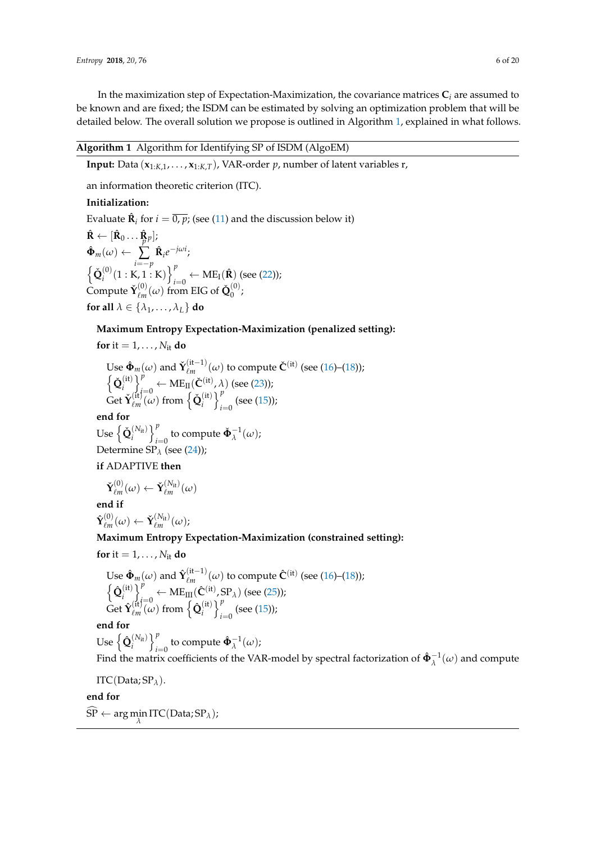In the maximization step of Expectation-Maximization, the covariance matrices **C***<sup>i</sup>* are assumed to be known and are fixed; the ISDM can be estimated by solving an optimization problem that will be detailed below. The overall solution we propose is outlined in Algorithm [1,](#page-5-0) explained in what follows.

# <span id="page-5-0"></span>**Algorithm 1** Algorithm for Identifying SP of ISDM (AlgoEM)

**Input:** Data  $(\mathbf{x}_{1:K,1}, \ldots, \mathbf{x}_{1:K,T})$ , VAR-order *p*, number of latent variables r,

an information theoretic criterion (ITC).

# **Initialization:**

Evaluate  $\hat{\mathbf{R}}_i$  for  $i = \overline{0, p}$ ; (see [\(11\)](#page-3-2) and the discussion below it)  $\mathbf{\hat{R}} \gets [\mathbf{\hat{R}}_0 \dots \mathbf{\hat{R}}_p];$  $\hat{\mathbf{\Phi}}_{m}(\omega) \leftarrow$ *p* ∑ *i*=−*p*  $\hat{\mathbf{R}}_i e^{-j\omega i}$ ;  $\big\{ \check{\mathbf{Q}}_i^{(0)}$  $\binom{0}{i}$ (1 : K, 1 : K)  $\}^{p}_{i}$  $\mu_{i=0}^{\prime} \leftarrow \text{ME}_{\text{I}}(\hat{\mathbf{R}})$  (see [\(22\)](#page-6-0));  $\text{Compute } \check{\mathbf{Y}}^{(0)}_{\ell m}$  $\chi_{\ell m}^{(0)}(\omega)$  from EIG of  $\check{\mathbf{Q}}_0^{(0)}$  $\int_{0}^{\infty}$ **for all**  $\lambda \in \{\lambda_1, \ldots, \lambda_L\}$  **do** 

# **Maximum Entropy Expectation-Maximization (penalized setting):**

**for** it = 1, . . . ,  $N_{it}$  **do** 

Use  $\hat{\mathbf{\Phi}}_m(\omega)$  and  $\mathbf{\check{Y}}_{\ell m}^{(\text{it}-1)}$  $\chi_{\ell m}^{(\text{it}-1)}(\omega)$  to compute  $\check{C}^{(\text{it})}$  (see [\(16\)](#page-4-1)–[\(18\)](#page-4-2));  $\big\{ \check{\mathbf{Q}}_i^{(\mathrm{it})}$  $\begin{bmatrix} i \\ i \end{bmatrix}$  $\mu_{\ell=0}^{\nu} \leftarrow \text{ME}_{\text{II}}(\check{\mathbf{C}}^{(\text{it})}, \lambda)$  (see [\(23\)](#page-6-1));  $\det \check{\mathbf{Y}}_{\ell m}^{(\mathrm{it})}$  $\varrho_m^{(\text{it})}(\omega)$  from  $\left\{\mathbf{\check{Q}}_i^{(\text{it})}\right\}$  $\begin{cases} i^{(i)} \end{cases}$   $\begin{cases} p \\ i \end{cases}$  $\sum_{i=0}^{\infty}$  (see [\(15\)](#page-4-0));

# **end for**

 $\mathbf{Use} \left\{ \check{\mathbf{Q}}_{i}^{\left(N_{\text{it}}\right)} \right\}_{i}^{p}$  $\sum_{i=0}^{p}$  to compute  $\check{\Phi}_{\lambda}^{-1}(\omega)$ ; Determine SP*<sup>λ</sup>* (see [\(24\)](#page-6-2));

# **if** ADAPTIVE **then**

$$
\mathbf{\check{Y}}^{(0)}_{\ell m}(\omega) \leftarrow \mathbf{\check{Y}}^{(N_\mathrm{it})}_{\ell m}(\omega)
$$

**end if**  $\hat{\mathbf{Y}}^{(0)}_{\ell m}$  $\check{\mathbf{Y}}^{(0)}_{\ell m}(\omega) \leftarrow \check{\mathbf{Y}}^{(N_\mathrm{it})}_{\ell m}(\omega);$ 

# **Maximum Entropy Expectation-Maximization (constrained setting):**

$$
for it = 1, \ldots, N_{it} do
$$

Use 
$$
\hat{\Phi}_m(\omega)
$$
 and  $\hat{Y}_{\ell m}^{(\text{it}-1)}(\omega)$  to compute  $\hat{C}^{(\text{it})}$  (see (16)–(18));  
\n $\left\{\hat{Q}_i^{(\text{it})}\right\}_{i=0}^p \leftarrow \text{ME}_{\text{III}}(\hat{C}^{(\text{it})}, \text{SP}_\lambda)$  (see (25));  
\nGet  $\hat{Y}_{\ell m}^{(\text{it})}(\omega)$  from  $\left\{\hat{Q}_i^{(\text{it})}\right\}_{i=0}^p$  (see (15));

**end for**

 $\mathbf{Use} \left\{ \mathbf{\hat{Q}}_i^{(N_{\text{it}})} \right\}_{i=1}^p$  $\sum_{i=0}^{p}$  to compute  $\hat{\Phi}_{\lambda}^{-1}(\omega)$ ;

Find the matrix coefficients of the VAR-model by spectral factorization of  $\hat{\Phi}_{\lambda}^{-1}(\omega)$  and compute

ITC(Data; SP*λ*).

## **end for**

 $\overline{\text{SP}} \leftarrow \arg\min_{\lambda} \text{ITC}(\text{Data}; \text{SP}_{\lambda});$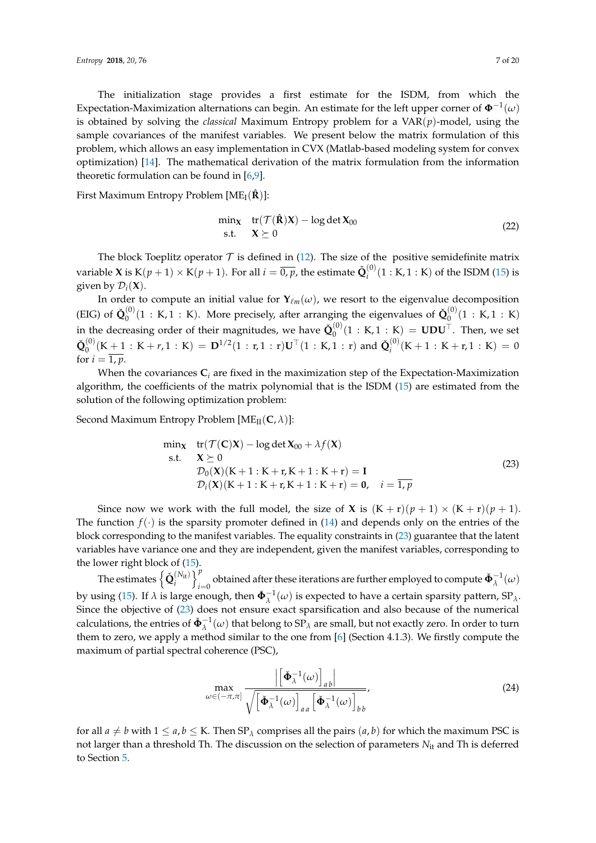The initialization stage provides a first estimate for the ISDM, from which the Expectation-Maximization alternations can begin. An estimate for the left upper corner of  $\mathbf{\Phi}^{-1}(\omega)$ is obtained by solving the *classical* Maximum Entropy problem for a VAR(*p*)-model, using the sample covariances of the manifest variables. We present below the matrix formulation of this problem, which allows an easy implementation in CVX (Matlab-based modeling system for convex optimization) [\[14\]](#page-18-13). The mathematical derivation of the matrix formulation from the information theoretic formulation can be found in [\[6,](#page-18-5)[9\]](#page-18-8).

First Maximum Entropy Problem  $[ME_I(\hat{\bf R})]$ :

<span id="page-6-0"></span>
$$
\min_{\mathbf{X}} \quad \text{tr}(\mathcal{T}(\hat{\mathbf{R}})\mathbf{X}) - \log \det \mathbf{X}_{00} \\ \text{s.t.} \quad \mathbf{X} \succeq 0 \tag{22}
$$

The block Toeplitz operator  $T$  is defined in [\(12\)](#page-3-3). The size of the positive semidefinite matrix variable **X** is  $K(p + 1) \times K(p + 1)$ . For all  $i = \overline{0, p}$ , the estimate  $\check{\mathbf{Q}}_i^{(0)}$  $i^{(0)}(1 : K, 1 : K)$  of the ISDM [\(15\)](#page-4-0) is given by  $\mathcal{D}_i(\mathbf{X})$ .

In order to compute an initial value for  $Y_{\ell m}(\omega)$ , we resort to the eigenvalue decomposition (EIG) of  $\check{\mathbf{Q}}_0^{(0)}$  $\mathbf{Q}_0^{(0)}(1 : \mathbf{K}, 1 : \mathbf{K})$ . More precisely, after arranging the eigenvalues of  $\mathbf{\check{Q}}_0^{(0)}$  $\binom{0}{0}(1 : K, 1 : K)$ in the decreasing order of their magnitudes, we have  $\check{\mathbf{Q}}^{(0)}_0$  $\binom{0}{0}(1:K,1:K) = \text{UDU}^{\top}$ . Then, we set  $\check{\mathbf{Q}}^{(0)}_0$  $\mathbf{0}^{(0)}(\mathrm{K}+1): \mathrm{K}+r, 1: \mathrm{K}) = \mathbf{D}^{1/2}(1:r, 1:r)\mathbf{U}^{\top}(1: \mathrm{K}, 1:r)$  and  $\check{\mathbf{Q}}_{i}^{(0)}$  $i_i^{(0)}(K+1: K+r, 1: K) = 0$ for  $i = \overline{1, p}$ .

When the covariances  $C_i$  are fixed in the maximization step of the Expectation-Maximization algorithm, the coefficients of the matrix polynomial that is the ISDM [\(15\)](#page-4-0) are estimated from the solution of the following optimization problem:

Second Maximum Entropy Problem  $[ME_{II}(\mathbf{C}, \lambda)]$ :

<span id="page-6-1"></span>
$$
\min_{\mathbf{X}} \quad tr(\mathcal{T}(\mathbf{C})\mathbf{X}) - \log \det \mathbf{X}_{00} + \lambda f(\mathbf{X}) \n\text{s.t.} \quad \mathbf{X} \succeq 0 \n\mathcal{D}_0(\mathbf{X})(K+1:K+r,K+1:K+r) = \mathbf{I} \n\mathcal{D}_i(\mathbf{X})(K+1:K+r,K+1:K+r) = \mathbf{0}, \quad i = \overline{1,p}
$$
\n(23)

Since now we work with the full model, the size of **X** is  $(K + r)(p + 1) \times (K + r)(p + 1)$ . The function  $f(\cdot)$  is the sparsity promoter defined in [\(14\)](#page-3-4) and depends only on the entries of the block corresponding to the manifest variables. The equality constraints in [\(23\)](#page-6-1) guarantee that the latent variables have variance one and they are independent, given the manifest variables, corresponding to the lower right block of [\(15\)](#page-4-0).

The estimates  $\left\{\check{\mathbf{Q}}_i^{(N_{\text{it}})}\right\}_{i=1}^p$  $\sum_{i=0}^{P}$  obtained after these iterations are further employed to compute  $\mathbf{\check{\Phi}}^{-1}_{\lambda}(\omega)$ by using [\(15\)](#page-4-0). If  $\lambda$  is large enough, then  $\check{\Phi}_{\lambda}^{-1}(\omega)$  is expected to have a certain sparsity pattern, SP<sub> $\lambda$ </sub>. Since the objective of [\(23\)](#page-6-1) does not ensure exact sparsification and also because of the numerical calculations, the entries of  $\check{\Phi}_{\lambda}^{-1}(\omega)$  that belong to  $\text{SP}_{\lambda}$  are small, but not exactly zero. In order to turn them to zero, we apply a method similar to the one from [\[6\]](#page-18-5) (Section 4.1.3). We firstly compute the maximum of partial spectral coherence (PSC),

<span id="page-6-2"></span>
$$
\max_{\omega \in (-\pi,\pi]} \frac{\left| \left[ \check{\Phi}_{\lambda}^{-1}(\omega) \right]_{ab} \right|}{\sqrt{\left[ \check{\Phi}_{\lambda}^{-1}(\omega) \right]_{aa} \left[ \check{\Phi}_{\lambda}^{-1}(\omega) \right]_{bb}}},\tag{24}
$$

for all  $a \neq b$  with  $1 \leq a, b \leq K$ . Then  $SP_{\lambda}$  comprises all the pairs  $(a, b)$  for which the maximum PSC is not larger than a threshold Th. The discussion on the selection of parameters *N*it and Th is deferred to Section [5.](#page-9-0)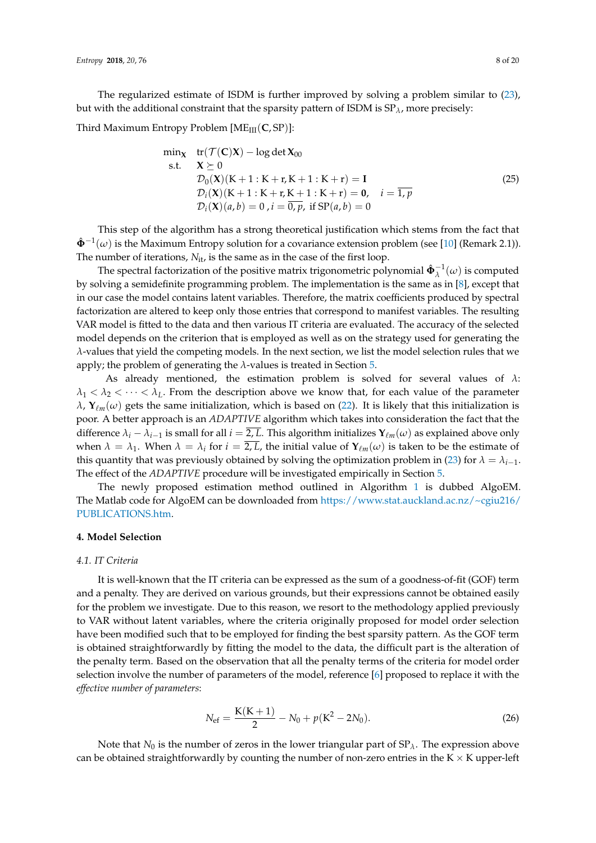The regularized estimate of ISDM is further improved by solving a problem similar to [\(23\)](#page-6-1), but with the additional constraint that the sparsity pattern of ISDM is SP*λ*, more precisely:

Third Maximum Entropy Problem [ME<sub>III</sub>(**C**, SP)]:

<span id="page-7-1"></span>
$$
\min_{\mathbf{X}} \quad tr(\mathcal{T}(\mathbf{C})\mathbf{X}) - \log \det \mathbf{X}_{00} \ns.t. \quad \mathbf{X} \succeq 0 \n\mathcal{D}_0(\mathbf{X})(K+1:K+r,K+1:K+r) = \mathbf{I} \n\mathcal{D}_i(\mathbf{X})(K+1:K+r,K+1:K+r) = \mathbf{0}, \quad i = \overline{1,p} \n\mathcal{D}_i(\mathbf{X})(a,b) = 0, i = \overline{0,p}, \text{ if } \text{SP}(a,b) = 0
$$
\n(25)

This step of the algorithm has a strong theoretical justification which stems from the fact that  $\hat{\Phi}^{-1}(\omega)$  is the Maximum Entropy solution for a covariance extension problem (see [\[10\]](#page-18-9) (Remark 2.1)). The number of iterations,  $N_{it}$ , is the same as in the case of the first loop.

The spectral factorization of the positive matrix trigonometric polynomial  $\hat{\Phi}_{\lambda}^{-1}(\omega)$  is computed by solving a semidefinite programming problem. The implementation is the same as in [\[8\]](#page-18-7), except that in our case the model contains latent variables. Therefore, the matrix coefficients produced by spectral factorization are altered to keep only those entries that correspond to manifest variables. The resulting VAR model is fitted to the data and then various IT criteria are evaluated. The accuracy of the selected model depends on the criterion that is employed as well as on the strategy used for generating the *λ*-values that yield the competing models. In the next section, we list the model selection rules that we apply; the problem of generating the *λ*-values is treated in Section [5.](#page-9-0)

As already mentioned, the estimation problem is solved for several values of *λ*:  $\lambda_1 < \lambda_2 < \cdots < \lambda_L$ . From the description above we know that, for each value of the parameter  $λ$ , **Υ**<sub>*lm*</sub>(*ω*) gets the same initialization, which is based on [\(22\)](#page-6-0). It is likely that this initialization is poor. A better approach is an *ADAPTIVE* algorithm which takes into consideration the fact that the difference  $\lambda_i - \lambda_{i-1}$  is small for all  $i = 2$ , *L*. This algorithm initializes  $Y_{\ell m}(\omega)$  as explained above only when  $\lambda = \lambda_1$ . When  $\lambda = \lambda_i$  for  $i = \overline{2, L}$ , the initial value of  $\mathbf{Y}_{\ell m}(\omega)$  is taken to be the estimate of this quantity that was previously obtained by solving the optimization problem in [\(23\)](#page-6-1) for  $\lambda = \lambda_{i-1}$ . The effect of the *ADAPTIVE* procedure will be investigated empirically in Section [5.](#page-9-0)

The newly proposed estimation method outlined in Algorithm [1](#page-5-0) is dubbed AlgoEM. The Matlab code for AlgoEM can be downloaded from [https://www.stat.auckland.ac.nz/~cgiu216/](https://www.stat.auckland.ac.nz/~cgiu216/PUBLICATIONS.htm) [PUBLICATIONS.htm.](https://www.stat.auckland.ac.nz/~cgiu216/PUBLICATIONS.htm)

#### <span id="page-7-0"></span>**4. Model Selection**

#### *4.1. IT Criteria*

It is well-known that the IT criteria can be expressed as the sum of a goodness-of-fit (GOF) term and a penalty. They are derived on various grounds, but their expressions cannot be obtained easily for the problem we investigate. Due to this reason, we resort to the methodology applied previously to VAR without latent variables, where the criteria originally proposed for model order selection have been modified such that to be employed for finding the best sparsity pattern. As the GOF term is obtained straightforwardly by fitting the model to the data, the difficult part is the alteration of the penalty term. Based on the observation that all the penalty terms of the criteria for model order selection involve the number of parameters of the model, reference [\[6\]](#page-18-5) proposed to replace it with the *effective number of parameters*:

<span id="page-7-2"></span>
$$
N_{\rm ef} = \frac{K(K+1)}{2} - N_0 + p(K^2 - 2N_0).
$$
 (26)

Note that  $N_0$  is the number of zeros in the lower triangular part of  $SP_\lambda$ . The expression above can be obtained straightforwardly by counting the number of non-zero entries in the  $K \times K$  upper-left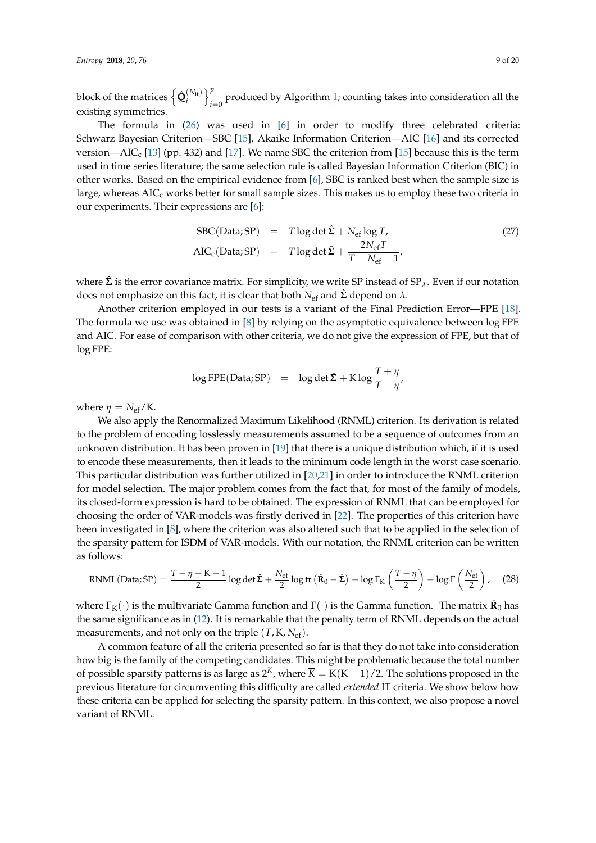block of the matrices  $\left\{\mathbf{\hat{Q}}_{i}^{(N_{\text{it}})}\right\}_{i=1}^{p}$  $\int_{t=0}^{\infty}$  produced by Algorithm [1;](#page-5-0) counting takes into consideration all the existing symmetries.

The formula in [\(26\)](#page-7-2) was used in [\[6\]](#page-18-5) in order to modify three celebrated criteria: Schwarz Bayesian Criterion—SBC [\[15\]](#page-18-14), Akaike Information Criterion—AIC [\[16\]](#page-18-15) and its corrected version—AIC<sub>c</sub> [\[13\]](#page-18-12) (pp. 432) and [\[17\]](#page-18-16). We name SBC the criterion from [\[15\]](#page-18-14) because this is the term used in time series literature; the same selection rule is called Bayesian Information Criterion (BIC) in other works. Based on the empirical evidence from [\[6\]](#page-18-5), SBC is ranked best when the sample size is large, whereas  $AIC<sub>c</sub>$  works better for small sample sizes. This makes us to employ these two criteria in our experiments. Their expressions are [\[6\]](#page-18-5):

<span id="page-8-1"></span>
$$
SBC(Data; SP) = T \log \det \hat{\Sigma} + N_{ef} \log T,
$$
\n
$$
AIC_{c}(Data; SP) = T \log \det \hat{\Sigma} + \frac{2N_{ef}T}{T - N_{ef} - 1},
$$
\n(27)

where  $\hat{\Sigma}$  is the error covariance matrix. For simplicity, we write SP instead of SP<sub> $\lambda$ </sub>. Even if our notation does not emphasize on this fact, it is clear that both  $N_{\text{ef}}$  and  $\hat{\Sigma}$  depend on  $\lambda$ .

Another criterion employed in our tests is a variant of the Final Prediction Error—FPE [\[18\]](#page-18-17). The formula we use was obtained in [\[8\]](#page-18-7) by relying on the asymptotic equivalence between log FPE and AIC. For ease of comparison with other criteria, we do not give the expression of FPE, but that of log FPE:

<span id="page-8-0"></span>
$$
\log \text{FPE}(\text{Data}; \text{SP}) = \log \det \hat{\Sigma} + \text{K} \log \frac{T + \eta}{T - \eta'}
$$

where  $\eta = N_{\text{ef}}/K$ .

We also apply the Renormalized Maximum Likelihood (RNML) criterion. Its derivation is related to the problem of encoding losslessly measurements assumed to be a sequence of outcomes from an unknown distribution. It has been proven in [\[19\]](#page-18-18) that there is a unique distribution which, if it is used to encode these measurements, then it leads to the minimum code length in the worst case scenario. This particular distribution was further utilized in [\[20,](#page-18-19)[21\]](#page-18-20) in order to introduce the RNML criterion for model selection. The major problem comes from the fact that, for most of the family of models, its closed-form expression is hard to be obtained. The expression of RNML that can be employed for choosing the order of VAR-models was firstly derived in [\[22\]](#page-18-21). The properties of this criterion have been investigated in [\[8\]](#page-18-7), where the criterion was also altered such that to be applied in the selection of the sparsity pattern for ISDM of VAR-models. With our notation, the RNML criterion can be written as follows:

$$
RNML(Data;SP) = \frac{T - \eta - K + 1}{2} \log \det \hat{\Sigma} + \frac{N_{ef}}{2} \log tr \left( \hat{R}_0 - \hat{\Sigma} \right) - \log \Gamma_K \left( \frac{T - \eta}{2} \right) - \log \Gamma \left( \frac{N_{ef}}{2} \right), \quad (28)
$$

where  $\Gamma_{\rm K}(\cdot)$  is the multivariate Gamma function and  $\Gamma(\cdot)$  is the Gamma function. The matrix  $\mathbf{\hat{R}}_0$  has the same significance as in [\(12\)](#page-3-3). It is remarkable that the penalty term of RNML depends on the actual measurements, and not only on the triple  $(T, K, N_{\text{ef}})$ .

A common feature of all the criteria presented so far is that they do not take into consideration how big is the family of the competing candidates. This might be problematic because the total number of possible sparsity patterns is as large as  $2^K$ , where  $\overline{K} = K(K-1)/2$ . The solutions proposed in the previous literature for circumventing this difficulty are called *extended* IT criteria. We show below how these criteria can be applied for selecting the sparsity pattern. In this context, we also propose a novel variant of RNML.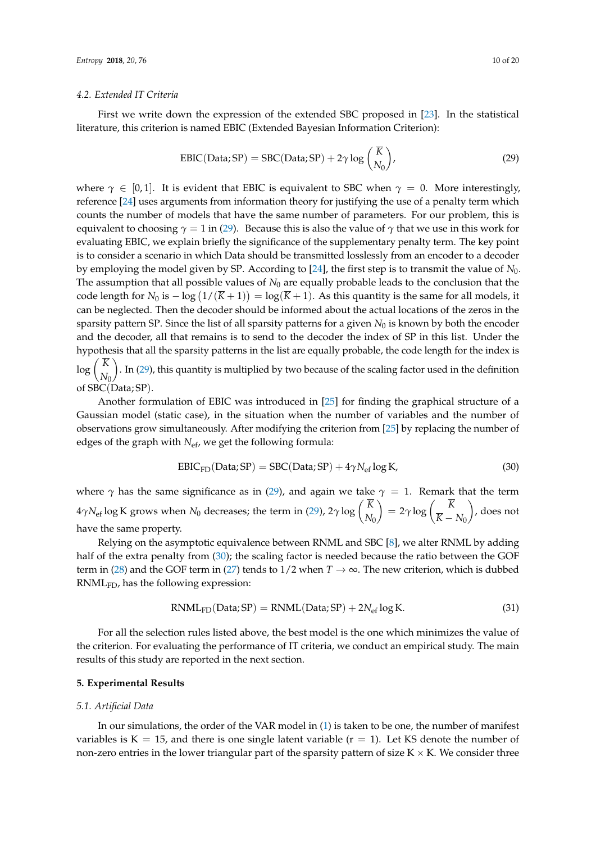#### *4.2. Extended IT Criteria*

First we write down the expression of the extended SBC proposed in [\[23\]](#page-18-22). In the statistical literature, this criterion is named EBIC (Extended Bayesian Information Criterion):

<span id="page-9-1"></span>
$$
EBIC(Data; SP) = SBC(Data; SP) + 2\gamma \log \binom{\overline{K}}{N_0},\tag{29}
$$

where  $\gamma \in [0, 1]$ . It is evident that EBIC is equivalent to SBC when  $\gamma = 0$ . More interestingly, reference [\[24\]](#page-18-23) uses arguments from information theory for justifying the use of a penalty term which counts the number of models that have the same number of parameters. For our problem, this is equivalent to choosing  $\gamma = 1$  in [\(29\)](#page-9-1). Because this is also the value of  $\gamma$  that we use in this work for evaluating EBIC, we explain briefly the significance of the supplementary penalty term. The key point is to consider a scenario in which Data should be transmitted losslessly from an encoder to a decoder by employing the model given by SP. According to [\[24\]](#page-18-23), the first step is to transmit the value of *N*0. The assumption that all possible values of  $N_0$  are equally probable leads to the conclusion that the code length for  $N_0$  is  $-\log(1/(\overline{K}+1)) = \log(\overline{K}+1)$ . As this quantity is the same for all models, it can be neglected. Then the decoder should be informed about the actual locations of the zeros in the sparsity pattern SP. Since the list of all sparsity patterns for a given *N*<sub>0</sub> is known by both the encoder and the decoder, all that remains is to send to the decoder the index of SP in this list. Under the hypothesis that all the sparsity patterns in the list are equally probable, the code length for the index is  $\log \left( \frac{K}{\lambda t} \right)$ . In [\(29\)](#page-9-1), this quantity is multiplied by two because of the scaling factor used in the definition

*N*0 of SBC(Data; SP).

Another formulation of EBIC was introduced in [\[25\]](#page-18-24) for finding the graphical structure of a Gaussian model (static case), in the situation when the number of variables and the number of observations grow simultaneously. After modifying the criterion from [\[25\]](#page-18-24) by replacing the number of edges of the graph with *N<sub>ef</sub>*, we get the following formula:

<span id="page-9-2"></span>
$$
EBIC_{FD}(Data; SP) = SBC(Data; SP) + 4\gamma N_{ef} \log K,
$$
\n(30)

where  $\gamma$  has the same significance as in [\(29\)](#page-9-1), and again we take  $\gamma = 1$ . Remark that the term  $4\gamma N_{\rm ef}\log K$  grows when  $N_0$  decreases; the term in [\(29\)](#page-9-1), 2 $\gamma\log\left(\frac{K}{N}\right)$ *N*0  $= 2\gamma \log \left( \frac{K}{V} \right)$  $\overline{K} - N_0$  , does not have the same property.

Relying on the asymptotic equivalence between RNML and SBC [\[8\]](#page-18-7), we alter RNML by adding half of the extra penalty from [\(30\)](#page-9-2); the scaling factor is needed because the ratio between the GOF term in [\(28\)](#page-8-0) and the GOF term in [\(27\)](#page-8-1) tends to  $1/2$  when  $T \to \infty$ . The new criterion, which is dubbed RNMLFD, has the following expression:

<span id="page-9-3"></span>
$$
RNML_{FD}(Data; SP) = RNML(Data; SP) + 2N_{ef} \log K.
$$
\n(31)

For all the selection rules listed above, the best model is the one which minimizes the value of the criterion. For evaluating the performance of IT criteria, we conduct an empirical study. The main results of this study are reported in the next section.

#### <span id="page-9-0"></span>**5. Experimental Results**

#### <span id="page-9-4"></span>*5.1. Artificial Data*

In our simulations, the order of the VAR model in [\(1\)](#page-1-0) is taken to be one, the number of manifest variables is  $K = 15$ , and there is one single latent variable ( $r = 1$ ). Let KS denote the number of non-zero entries in the lower triangular part of the sparsity pattern of size  $K \times K$ . We consider three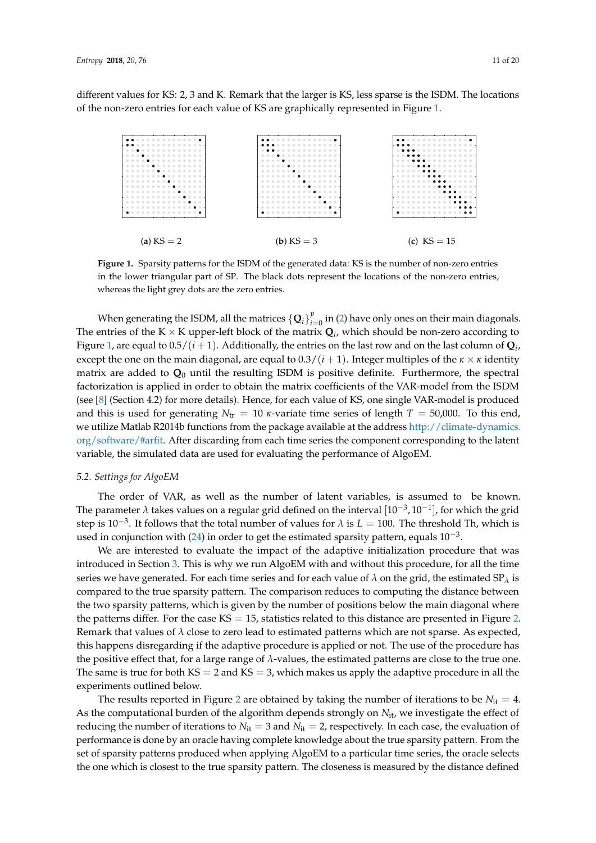different values for KS: 2, 3 and K. Remark that the larger is KS, less sparse is the ISDM. The locations of the non-zero entries for each value of KS are graphically represented in Figure [1.](#page-10-0)

<span id="page-10-0"></span>

**Figure 1.** Sparsity patterns for the ISDM of the generated data: KS is the number of non-zero entries in the lower triangular part of SP. The black dots represent the locations of the non-zero entries, whereas the light grey dots are the zero entries.

When generating the ISDM, all the matrices  $\{\mathbf Q_i\}_{i:}^p$  $\int_{i=0}^{p}$  in [\(2\)](#page-2-3) have only ones on their main diagonals. The entries of the K  $\times$  K upper-left block of the matrix  $\mathbf{Q}_i$ , which should be non-zero according to Figure [1,](#page-10-0) are equal to  $0.5/(i+1)$ . Additionally, the entries on the last row and on the last column of  $\mathbf{Q}_i$ , except the one on the main diagonal, are equal to  $0.3/(i + 1)$ . Integer multiples of the  $\kappa \times \kappa$  identity matrix are added to  $\mathbf{Q}_0$  until the resulting ISDM is positive definite. Furthermore, the spectral factorization is applied in order to obtain the matrix coefficients of the VAR-model from the ISDM (see [\[8\]](#page-18-7) (Section 4.2) for more details). Hence, for each value of KS, one single VAR-model is produced and this is used for generating  $N_{tr} = 10 \kappa$ -variate time series of length  $T = 50,000$ . To this end, we utilize Matlab R2014b functions from the package available at the address [http://climate-dynamics.](http://climate-dynamics.org/software/#arfit) [org/software/#arfit.](http://climate-dynamics.org/software/#arfit) After discarding from each time series the component corresponding to the latent variable, the simulated data are used for evaluating the performance of AlgoEM.

#### *5.2. Settings for AlgoEM*

The order of VAR, as well as the number of latent variables, is assumed to be known. The parameter *λ* takes values on a regular grid defined on the interval  $[10^{-3}, 10^{-1}]$ , for which the grid step is 10−<sup>3</sup> . It follows that the total number of values for *λ* is *L* = 100. The threshold Th, which is used in conjunction with [\(24\)](#page-6-2) in order to get the estimated sparsity pattern, equals  $10^{-3}$ .

We are interested to evaluate the impact of the adaptive initialization procedure that was introduced in Section [3.](#page-3-0) This is why we run AlgoEM with and without this procedure, for all the time series we have generated. For each time series and for each value of  $\lambda$  on the grid, the estimated SP<sub> $\lambda$ </sub> is compared to the true sparsity pattern. The comparison reduces to computing the distance between the two sparsity patterns, which is given by the number of positions below the main diagonal where the patterns differ. For the case  $KS = 15$ , statistics related to this distance are presented in Figure [2.](#page-11-0) Remark that values of  $\lambda$  close to zero lead to estimated patterns which are not sparse. As expected, this happens disregarding if the adaptive procedure is applied or not. The use of the procedure has the positive effect that, for a large range of *λ*-values, the estimated patterns are close to the true one. The same is true for both  $KS = 2$  and  $KS = 3$ , which makes us apply the adaptive procedure in all the experiments outlined below.

The results reported in Figure [2](#page-11-0) are obtained by taking the number of iterations to be  $N_{it} = 4$ . As the computational burden of the algorithm depends strongly on  $N_{it}$ , we investigate the effect of reducing the number of iterations to  $N_{it} = 3$  and  $N_{it} = 2$ , respectively. In each case, the evaluation of performance is done by an oracle having complete knowledge about the true sparsity pattern. From the set of sparsity patterns produced when applying AlgoEM to a particular time series, the oracle selects the one which is closest to the true sparsity pattern. The closeness is measured by the distance defined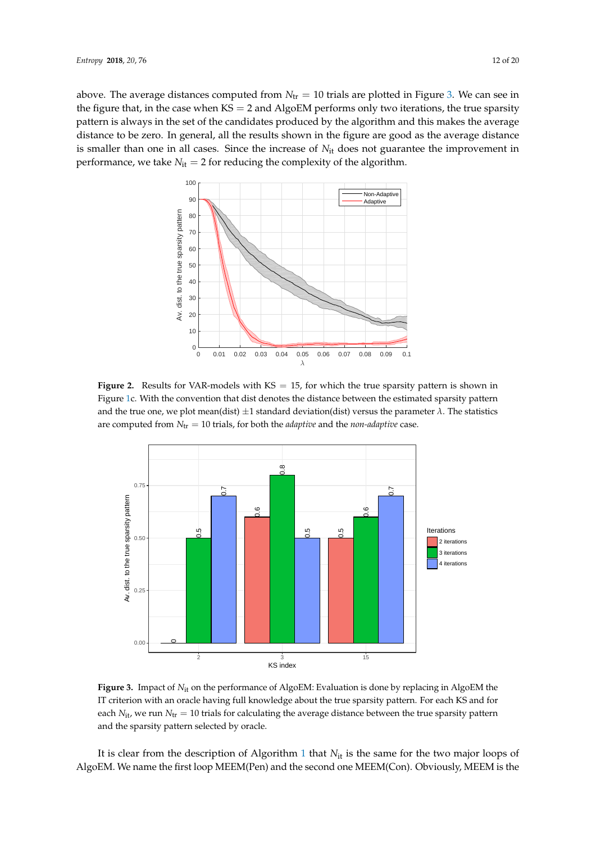<span id="page-11-0"></span>above. The average distances computed from  $N_{tr} = 10$  trials are plotted in Figure [3.](#page-11-1) We can see in the figure that, in the case when  $KS = 2$  and AlgoEM performs only two iterations, the true sparsity pattern is always in the set of the candidates produced by the algorithm and this makes the average distance to be zero. In general, all the results shown in the figure are good as the average distance is smaller than one in all cases. Since the increase of *N*it does not guarantee the improvement in performance, we take  $N_{it} = 2$  for reducing the complexity of the algorithm.



Figure 2. Results for VAR-models with KS = 15, for which the true sparsity pattern is shown in Figure [1c](#page-10-0). With the convention that dist denotes the distance between the estimated sparsity pattern and the true one, we plot mean(dist)  $\pm 1$  standard deviation(dist) versus the parameter  $\lambda$ . The statistics are computed from  $N_{tr} = 10$  trials, for both the *adaptive* and the *non-adaptive* case.

<span id="page-11-1"></span>

**Figure 3.** Impact of  $N_{it}$  on the performance of AlgoEM: Evaluation is done by replacing in AlgoEM the IT criterion with an oracle having full knowledge about the true sparsity pattern. For each KS and for each  $N_{\text{it}}$ , we run  $N_{\text{tr}} = 10$  trials for calculating the average distance between the true sparsity pattern and the sparsity pattern selected by oracle.

It is clear from the description of Algorithm [1](#page-5-0) that *N*it is the same for the two major loops of AlgoEM. We name the first loop MEEM(Pen) and the second one MEEM(Con). Obviously, MEEM is the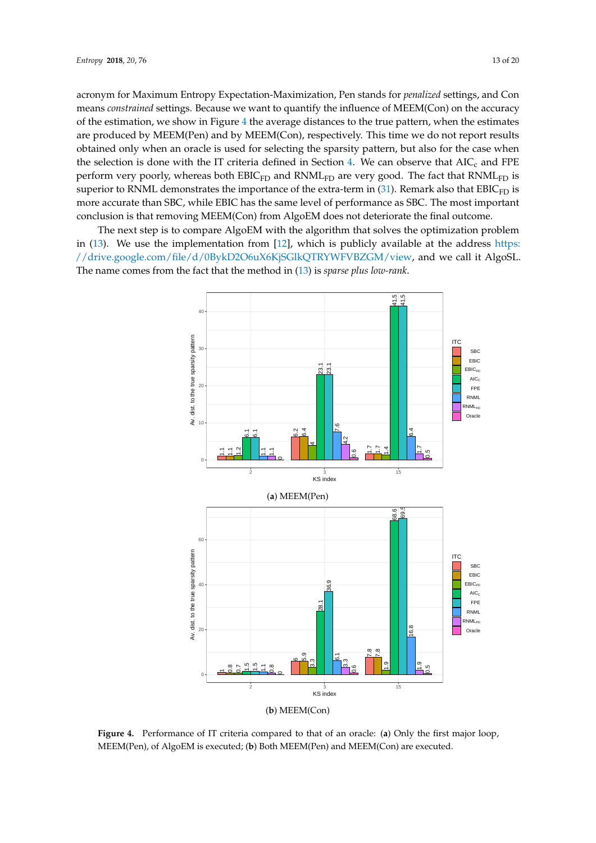acronym for Maximum Entropy Expectation-Maximization, Pen stands for *penalized* settings, and Con means *constrained* settings. Because we want to quantify the influence of MEEM(Con) on the accuracy of the estimation, we show in Figure [4](#page-12-0) the average distances to the true pattern, when the estimates are produced by MEEM(Pen) and by MEEM(Con), respectively. This time we do not report results obtained only when an oracle is used for selecting the sparsity pattern, but also for the case when the selection is done with the IT criteria defined in Section [4.](#page-7-0) We can observe that  $AIC_c$  and FPE perform very poorly, whereas both EBIC<sub>FD</sub> and RNML<sub>FD</sub> are very good. The fact that RNML<sub>FD</sub> is superior to RNML demonstrates the importance of the extra-term in  $(31)$ . Remark also that EBIC<sub>FD</sub> is more accurate than SBC, while EBIC has the same level of performance as SBC. The most important conclusion is that removing MEEM(Con) from AlgoEM does not deteriorate the final outcome.

<span id="page-12-0"></span>The next step is to compare AlgoEM with the algorithm that solves the optimization problem in [\(13\)](#page-3-1). We use the implementation from [\[12\]](#page-18-11), which is publicly available at the address [https:](https://drive.google.com/file/d/0BykD2O6uX6KjSGlkQTRYWFVBZGM/view) [//drive.google.com/file/d/0BykD2O6uX6KjSGlkQTRYWFVBZGM/view,](https://drive.google.com/file/d/0BykD2O6uX6KjSGlkQTRYWFVBZGM/view) and we call it AlgoSL. The name comes from the fact that the method in [\(13\)](#page-3-1) is *sparse plus low-rank*.



**Figure 4.** Performance of IT criteria compared to that of an oracle: (**a**) Only the first major loop, MEEM(Pen), of AlgoEM is executed; (**b**) Both MEEM(Pen) and MEEM(Con) are executed.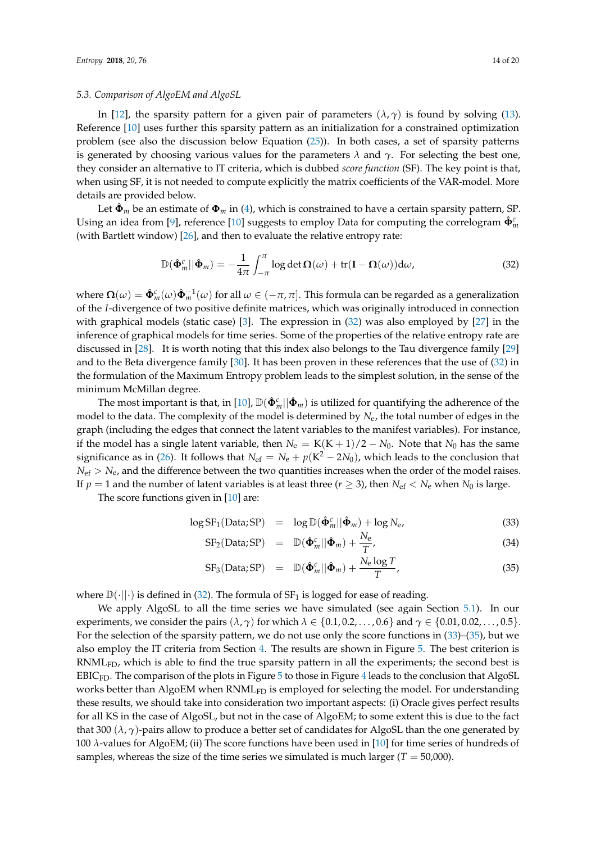#### *5.3. Comparison of AlgoEM and AlgoSL*

In [\[12\]](#page-18-11), the sparsity pattern for a given pair of parameters  $(\lambda, \gamma)$  is found by solving [\(13\)](#page-3-1). Reference [\[10\]](#page-18-9) uses further this sparsity pattern as an initialization for a constrained optimization problem (see also the discussion below Equation [\(25\)](#page-7-1)). In both cases, a set of sparsity patterns is generated by choosing various values for the parameters  $\lambda$  and  $\gamma$ . For selecting the best one, they consider an alternative to IT criteria, which is dubbed *score function* (SF). The key point is that, when using SF, it is not needed to compute explicitly the matrix coefficients of the VAR-model. More details are provided below.

Let  $\hat{\Phi}_m$  be an estimate of  $\Phi_m$  in [\(4\)](#page-2-2), which is constrained to have a certain sparsity pattern, SP. Using an idea from [\[9\]](#page-18-8), reference [\[10\]](#page-18-9) suggests to employ Data for computing the correlogram  $\hat{\Phi}^c_m$ (with Bartlett window) [\[26\]](#page-18-25), and then to evaluate the relative entropy rate:

<span id="page-13-0"></span>
$$
\mathbb{D}(\hat{\Phi}_m^c||\hat{\Phi}_m) = -\frac{1}{4\pi} \int_{-\pi}^{\pi} \log \det \Omega(\omega) + \text{tr}(\mathbf{I} - \Omega(\omega)) \, \mathrm{d}\omega,\tag{32}
$$

where  $\Omega(\omega) = \hat{\Phi}_m^c(\omega) \hat{\Phi}_m^{-1}(\omega)$  for all  $\omega \in (-\pi, \pi]$ . This formula can be regarded as a generalization of the *I*-divergence of two positive definite matrices, which was originally introduced in connection with graphical models (static case) [\[3\]](#page-18-2). The expression in [\(32\)](#page-13-0) was also employed by [\[27\]](#page-18-26) in the inference of graphical models for time series. Some of the properties of the relative entropy rate are discussed in [\[28\]](#page-18-27). It is worth noting that this index also belongs to the Tau divergence family [\[29\]](#page-19-0) and to the Beta divergence family [\[30\]](#page-19-1). It has been proven in these references that the use of [\(32\)](#page-13-0) in the formulation of the Maximum Entropy problem leads to the simplest solution, in the sense of the minimum McMillan degree.

The most important is that, in [\[10\]](#page-18-9),  $\mathbb{D}(\hat{\Phi}^c_m||\hat{\Phi}_m)$  is utilized for quantifying the adherence of the model to the data. The complexity of the model is determined by *N*e, the total number of edges in the graph (including the edges that connect the latent variables to the manifest variables). For instance, if the model has a single latent variable, then  $N_e = K(K+1)/2 - N_0$ . Note that  $N_0$  has the same significance as in [\(26\)](#page-7-2). It follows that  $N_{\text{ef}} = N_{\text{e}} + p(K^2 - 2N_0)$ , which leads to the conclusion that  $N_{\text{ef}} > N_{\text{e}}$ , and the difference between the two quantities increases when the order of the model raises. If  $p = 1$  and the number of latent variables is at least three ( $r \ge 3$ ), then  $N_{\text{ef}} < N_{\text{e}}$  when  $N_0$  is large.

The score functions given in [\[10\]](#page-18-9) are:

<span id="page-13-1"></span>
$$
\log SF_1(\text{Data}; SP) = \log \mathbb{D}(\hat{\Phi}_m^c || \hat{\Phi}_m) + \log N_e,
$$
\n(33)

$$
SF_2(Data; SP) = \mathbb{D}(\hat{\Phi}_m^c || \hat{\Phi}_m) + \frac{N_e}{T}, \qquad (34)
$$

$$
SF_3(Data; SP) = \mathbb{D}(\hat{\Phi}_m^c || \hat{\Phi}_m) + \frac{N_e \log T}{T}, \qquad (35)
$$

where  $\mathbb{D}(\cdot||\cdot)$  is defined in [\(32\)](#page-13-0). The formula of SF<sub>1</sub> is logged for ease of reading.

We apply AlgoSL to all the time series we have simulated (see again Section [5.1\)](#page-9-4). In our experiments, we consider the pairs  $(\lambda, \gamma)$  for which  $\lambda \in \{0.1, 0.2, \ldots, 0.6\}$  and  $\gamma \in \{0.01, 0.02, \ldots, 0.5\}$ . For the selection of the sparsity pattern, we do not use only the score functions in [\(33\)](#page-13-1)–[\(35\)](#page-13-1), but we also employ the IT criteria from Section [4.](#page-7-0) The results are shown in Figure [5.](#page-14-0) The best criterion is RNML<sub>FD</sub>, which is able to find the true sparsity pattern in all the experiments; the second best is  $EBIC<sub>FD</sub>$ . The comparison of the plots in Figure [5](#page-14-0) to those in Figure [4](#page-12-0) leads to the conclusion that AlgoSL works better than AlgoEM when  $\text{RNML}_{\text{FD}}$  is employed for selecting the model. For understanding these results, we should take into consideration two important aspects: (i) Oracle gives perfect results for all KS in the case of AlgoSL, but not in the case of AlgoEM; to some extent this is due to the fact that 300 ( $\lambda$ ,  $\gamma$ )-pairs allow to produce a better set of candidates for AlgoSL than the one generated by 100 *λ*-values for AlgoEM; (ii) The score functions have been used in [\[10\]](#page-18-9) for time series of hundreds of samples, whereas the size of the time series we simulated is much larger  $(T = 50,000)$ .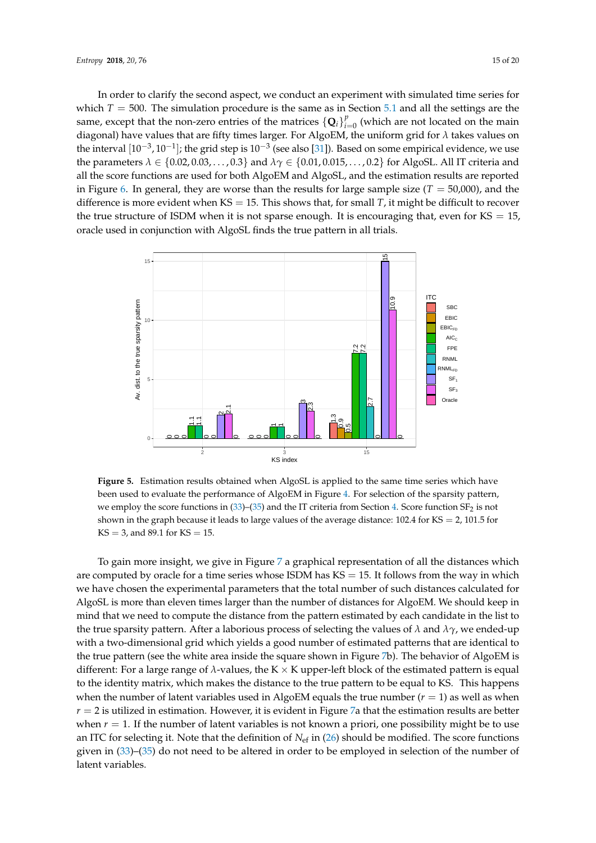In order to clarify the second aspect, we conduct an experiment with simulated time series for which  $T = 500$ . The simulation procedure is the same as in Section [5.1](#page-9-4) and all the settings are the same, except that the non-zero entries of the matrices  $\{\mathbf{Q}_i\}_{i=1}^p$  $\int_{i=0}^{p}$  (which are not located on the main diagonal) have values that are fifty times larger. For AlgoEM, the uniform grid for *λ* takes values on the interval  $[10^{-3}, 10^{-1}]$ ; the grid step is  $10^{-3}$  (see also [\[31\]](#page-19-2)). Based on some empirical evidence, we use the parameters  $\lambda \in \{0.02, 0.03, \ldots, 0.3\}$  and  $\lambda \gamma \in \{0.01, 0.015, \ldots, 0.2\}$  for AlgoSL. All IT criteria and all the score functions are used for both AlgoEM and AlgoSL, and the estimation results are reported in Figure [6.](#page-15-0) In general, they are worse than the results for large sample size ( $T = 50,000$ ), and the difference is more evident when  $KS = 15$ . This shows that, for small *T*, it might be difficult to recover the true structure of ISDM when it is not sparse enough. It is encouraging that, even for  $KS = 15$ , oracle used in conjunction with AlgoSL finds the true pattern in all trials.

<span id="page-14-0"></span>

**Figure 5.** Estimation results obtained when AlgoSL is applied to the same time series which have been used to evaluate the performance of AlgoEM in Figure [4.](#page-12-0) For selection of the sparsity pattern, we employ the score functions in  $(33)$ – $(35)$  and the IT criteria from Section [4.](#page-7-0) Score function SF<sub>2</sub> is not shown in the graph because it leads to large values of the average distance:  $102.4$  for KS = 2, 101.5 for  $KS = 3$ , and 89.1 for  $KS = 15$ .

To gain more insight, we give in Figure [7](#page-16-0) a graphical representation of all the distances which are computed by oracle for a time series whose ISDM has  $KS = 15$ . It follows from the way in which we have chosen the experimental parameters that the total number of such distances calculated for AlgoSL is more than eleven times larger than the number of distances for AlgoEM. We should keep in mind that we need to compute the distance from the pattern estimated by each candidate in the list to the true sparsity pattern. After a laborious process of selecting the values of *λ* and *λγ*, we ended-up with a two-dimensional grid which yields a good number of estimated patterns that are identical to the true pattern (see the white area inside the square shown in Figure [7b](#page-16-0)). The behavior of AlgoEM is different: For a large range of  $\lambda$ -values, the K  $\times$  K upper-left block of the estimated pattern is equal to the identity matrix, which makes the distance to the true pattern to be equal to KS. This happens when the number of latent variables used in AlgoEM equals the true number  $(r = 1)$  as well as when  $r = 2$  is utilized in estimation. However, it is evident in Figure [7a](#page-16-0) that the estimation results are better when  $r = 1$ . If the number of latent variables is not known a priori, one possibility might be to use an ITC for selecting it. Note that the definition of *N*ef in [\(26\)](#page-7-2) should be modified. The score functions given in [\(33\)](#page-13-1)–[\(35\)](#page-13-1) do not need to be altered in order to be employed in selection of the number of latent variables.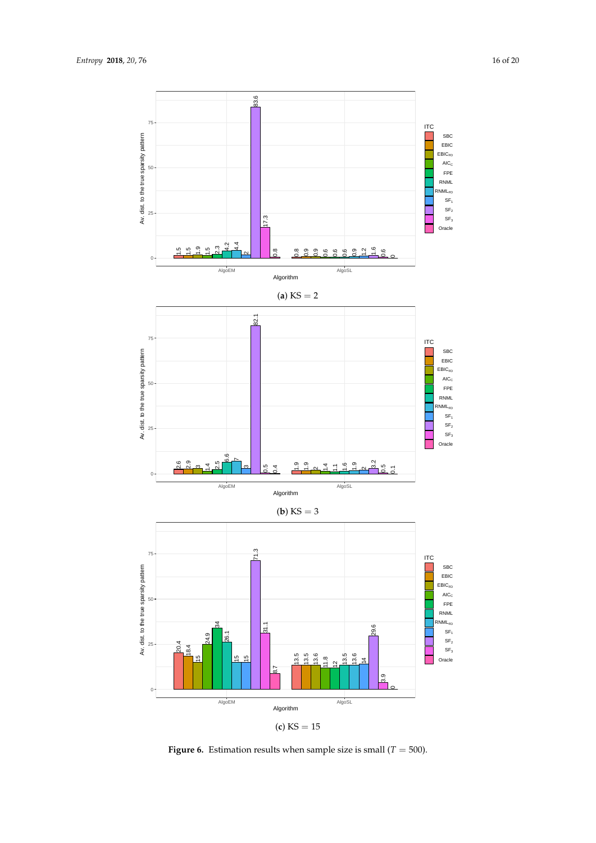<span id="page-15-0"></span>

**Figure 6.** Estimation results when sample size is small ( $T = 500$ ).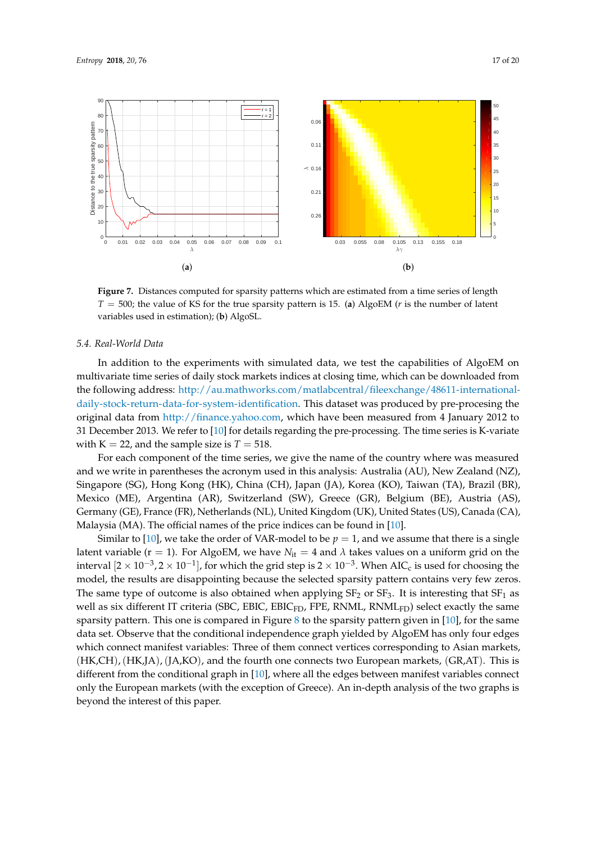<span id="page-16-0"></span>

**Figure 7.** Distances computed for sparsity patterns which are estimated from a time series of length *T* = 500; the value of KS for the true sparsity pattern is 15. (**a**) AlgoEM (*r* is the number of latent variables used in estimation); (**b**) AlgoSL.

#### *5.4. Real-World Data*

In addition to the experiments with simulated data, we test the capabilities of AlgoEM on multivariate time series of daily stock markets indices at closing time, which can be downloaded from the following address: [http://au.mathworks.com/matlabcentral/fileexchange/48611-international](http://au.mathworks.com/matlabcentral/fileexchange/48611-international-daily-stock-return-data-for-system-identification)[daily-stock-return-data-for-system-identification.](http://au.mathworks.com/matlabcentral/fileexchange/48611-international-daily-stock-return-data-for-system-identification) This dataset was produced by pre-procesing the original data from [http://finance.yahoo.com,](http://finance.yahoo.com) which have been measured from 4 January 2012 to 31 December 2013. We refer to [\[10\]](#page-18-9) for details regarding the pre-processing. The time series is K-variate with  $K = 22$ , and the sample size is  $T = 518$ .

For each component of the time series, we give the name of the country where was measured and we write in parentheses the acronym used in this analysis: Australia (AU), New Zealand (NZ), Singapore (SG), Hong Kong (HK), China (CH), Japan (JA), Korea (KO), Taiwan (TA), Brazil (BR), Mexico (ME), Argentina (AR), Switzerland (SW), Greece (GR), Belgium (BE), Austria (AS), Germany (GE), France (FR), Netherlands (NL), United Kingdom (UK), United States (US), Canada (CA), Malaysia (MA). The official names of the price indices can be found in [\[10\]](#page-18-9).

Similar to [\[10\]](#page-18-9), we take the order of VAR-model to be  $p = 1$ , and we assume that there is a single latent variable ( $r = 1$ ). For AlgoEM, we have  $N_{it} = 4$  and  $\lambda$  takes values on a uniform grid on the interval  $[2\times 10^{-3}, 2\times 10^{-1}]$ , for which the grid step is  $2\times 10^{-3}$ . When AIC<sub>c</sub> is used for choosing the model, the results are disappointing because the selected sparsity pattern contains very few zeros. The same type of outcome is also obtained when applying  $SF<sub>2</sub>$  or  $SF<sub>3</sub>$ . It is interesting that  $SF<sub>1</sub>$  as well as six different IT criteria (SBC, EBIC, EBIC<sub>FD</sub>, FPE, RNML, RNML<sub>FD</sub>) select exactly the same sparsity pattern. This one is compared in Figure [8](#page-17-1) to the sparsity pattern given in  $[10]$ , for the same data set. Observe that the conditional independence graph yielded by AlgoEM has only four edges which connect manifest variables: Three of them connect vertices corresponding to Asian markets, (HK,CH),(HK,JA),(JA,KO), and the fourth one connects two European markets, (GR,AT). This is different from the conditional graph in [\[10\]](#page-18-9), where all the edges between manifest variables connect only the European markets (with the exception of Greece). An in-depth analysis of the two graphs is beyond the interest of this paper.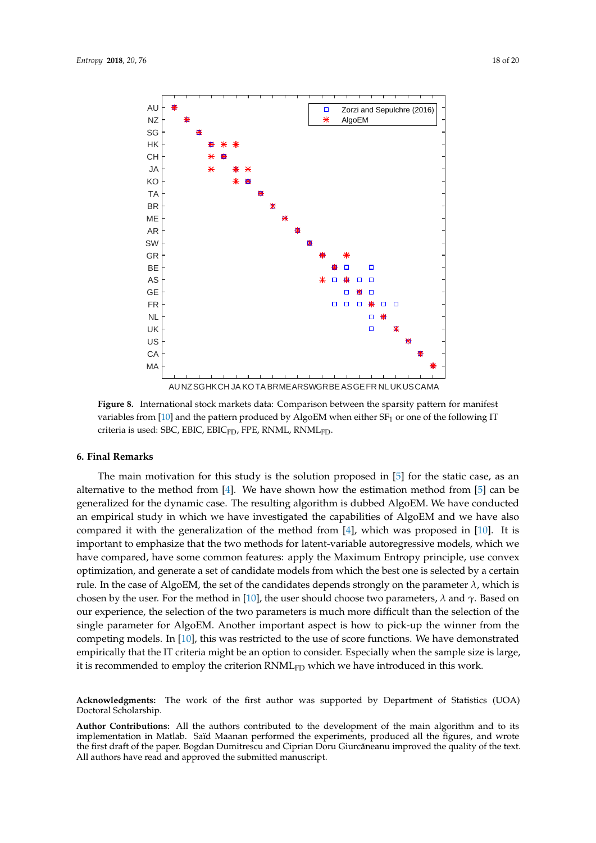<span id="page-17-1"></span>

**Figure 8.** International stock markets data: Comparison between the sparsity pattern for manifest variables from  $[10]$  and the pattern produced by AlgoEM when either  $SF<sub>1</sub>$  or one of the following IT criteria is used: SBC, EBIC, EBIC<sub>FD</sub>, FPE, RNML, RNML<sub>FD</sub>.

#### <span id="page-17-0"></span>**6. Final Remarks**

The main motivation for this study is the solution proposed in [\[5\]](#page-18-4) for the static case, as an alternative to the method from  $[4]$ . We have shown how the estimation method from  $[5]$  can be generalized for the dynamic case. The resulting algorithm is dubbed AlgoEM. We have conducted an empirical study in which we have investigated the capabilities of AlgoEM and we have also compared it with the generalization of the method from [\[4\]](#page-18-3), which was proposed in [\[10\]](#page-18-9). It is important to emphasize that the two methods for latent-variable autoregressive models, which we have compared, have some common features: apply the Maximum Entropy principle, use convex optimization, and generate a set of candidate models from which the best one is selected by a certain rule. In the case of AlgoEM, the set of the candidates depends strongly on the parameter  $\lambda$ , which is chosen by the user. For the method in [\[10\]](#page-18-9), the user should choose two parameters, *λ* and *γ*. Based on our experience, the selection of the two parameters is much more difficult than the selection of the single parameter for AlgoEM. Another important aspect is how to pick-up the winner from the competing models. In [\[10\]](#page-18-9), this was restricted to the use of score functions. We have demonstrated empirically that the IT criteria might be an option to consider. Especially when the sample size is large, it is recommended to employ the criterion  $RMML_{FD}$  which we have introduced in this work.

**Acknowledgments:** The work of the first author was supported by Department of Statistics (UOA) Doctoral Scholarship.

**Author Contributions:** All the authors contributed to the development of the main algorithm and to its implementation in Matlab. Saïd Maanan performed the experiments, produced all the figures, and wrote the first draft of the paper. Bogdan Dumitrescu and Ciprian Doru Giurcăneanu improved the quality of the text. All authors have read and approved the submitted manuscript.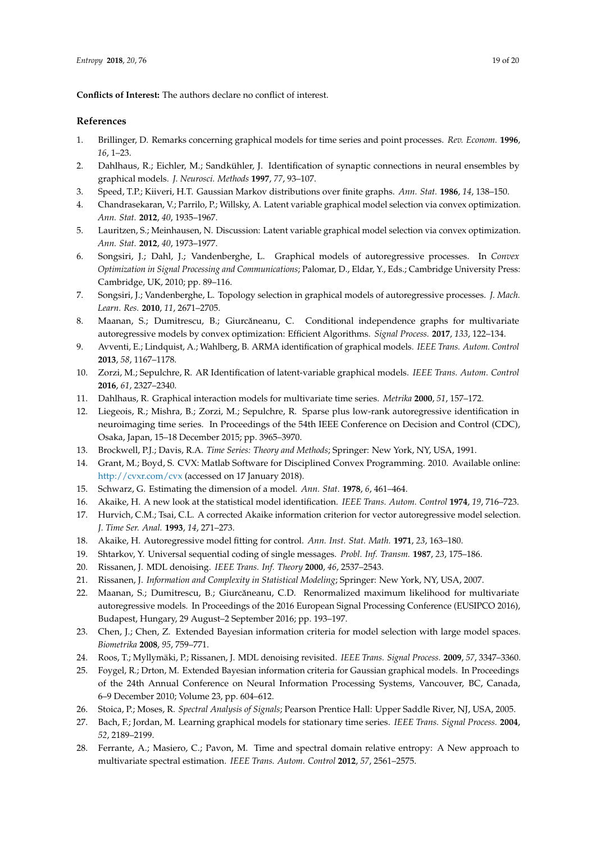**Conflicts of Interest:** The authors declare no conflict of interest.

## **References**

- <span id="page-18-0"></span>1. Brillinger, D. Remarks concerning graphical models for time series and point processes. *Rev. Econom.* **1996**, *16*, 1–23.
- <span id="page-18-1"></span>2. Dahlhaus, R.; Eichler, M.; Sandkühler, J. Identification of synaptic connections in neural ensembles by graphical models. *J. Neurosci. Methods* **1997**, *77*, 93–107.
- <span id="page-18-2"></span>3. Speed, T.P.; Kiiveri, H.T. Gaussian Markov distributions over finite graphs. *Ann. Stat.* **1986**, *14*, 138–150.
- <span id="page-18-3"></span>4. Chandrasekaran, V.; Parrilo, P.; Willsky, A. Latent variable graphical model selection via convex optimization. *Ann. Stat.* **2012**, *40*, 1935–1967.
- <span id="page-18-4"></span>5. Lauritzen, S.; Meinhausen, N. Discussion: Latent variable graphical model selection via convex optimization. *Ann. Stat.* **2012**, *40*, 1973–1977.
- <span id="page-18-5"></span>6. Songsiri, J.; Dahl, J.; Vandenberghe, L. Graphical models of autoregressive processes. In *Convex Optimization in Signal Processing and Communications*; Palomar, D., Eldar, Y., Eds.; Cambridge University Press: Cambridge, UK, 2010; pp. 89–116.
- <span id="page-18-6"></span>7. Songsiri, J.; Vandenberghe, L. Topology selection in graphical models of autoregressive processes. *J. Mach. Learn. Res.* **2010**, *11*, 2671–2705.
- <span id="page-18-7"></span>8. Maanan, S.; Dumitrescu, B.; Giurcăneanu, C. Conditional independence graphs for multivariate autoregressive models by convex optimization: Efficient Algorithms. *Signal Process.* **2017**, *133*, 122–134.
- <span id="page-18-8"></span>9. Avventi, E.; Lindquist, A.; Wahlberg, B. ARMA identification of graphical models. *IEEE Trans. Autom. Control* **2013**, *58*, 1167–1178.
- <span id="page-18-9"></span>10. Zorzi, M.; Sepulchre, R. AR Identification of latent-variable graphical models. *IEEE Trans. Autom. Control* **2016**, *61*, 2327–2340.
- <span id="page-18-10"></span>11. Dahlhaus, R. Graphical interaction models for multivariate time series. *Metrika* **2000**, *51*, 157–172.
- <span id="page-18-11"></span>12. Liegeois, R.; Mishra, B.; Zorzi, M.; Sepulchre, R. Sparse plus low-rank autoregressive identification in neuroimaging time series. In Proceedings of the 54th IEEE Conference on Decision and Control (CDC), Osaka, Japan, 15–18 December 2015; pp. 3965–3970.
- <span id="page-18-12"></span>13. Brockwell, P.J.; Davis, R.A. *Time Series: Theory and Methods*; Springer: New York, NY, USA, 1991.
- <span id="page-18-13"></span>14. Grant, M.; Boyd, S. CVX: Matlab Software for Disciplined Convex Programming. 2010. Available online: <http://cvxr.com/cvx> (accessed on 17 January 2018).
- <span id="page-18-14"></span>15. Schwarz, G. Estimating the dimension of a model. *Ann. Stat.* **1978**, *6*, 461–464.
- <span id="page-18-15"></span>16. Akaike, H. A new look at the statistical model identification. *IEEE Trans. Autom. Control* **1974**, *19*, 716–723.
- <span id="page-18-16"></span>17. Hurvich, C.M.; Tsai, C.L. A corrected Akaike information criterion for vector autoregressive model selection. *J. Time Ser. Anal.* **1993**, *14*, 271–273.
- <span id="page-18-17"></span>18. Akaike, H. Autoregressive model fitting for control. *Ann. Inst. Stat. Math.* **1971**, *23*, 163–180.
- <span id="page-18-18"></span>19. Shtarkov, Y. Universal sequential coding of single messages. *Probl. Inf. Transm.* **1987**, *23*, 175–186.
- <span id="page-18-19"></span>20. Rissanen, J. MDL denoising. *IEEE Trans. Inf. Theory* **2000**, *46*, 2537–2543.
- <span id="page-18-20"></span>21. Rissanen, J. *Information and Complexity in Statistical Modeling*; Springer: New York, NY, USA, 2007.
- <span id="page-18-21"></span>22. Maanan, S.; Dumitrescu, B.; Giurcăneanu, C.D. Renormalized maximum likelihood for multivariate autoregressive models. In Proceedings of the 2016 European Signal Processing Conference (EUSIPCO 2016), Budapest, Hungary, 29 August–2 September 2016; pp. 193–197.
- <span id="page-18-22"></span>23. Chen, J.; Chen, Z. Extended Bayesian information criteria for model selection with large model spaces. *Biometrika* **2008**, *95*, 759–771.
- <span id="page-18-23"></span>24. Roos, T.; Myllymäki, P.; Rissanen, J. MDL denoising revisited. *IEEE Trans. Signal Process.* **2009**, *57*, 3347–3360.
- <span id="page-18-24"></span>25. Foygel, R.; Drton, M. Extended Bayesian information criteria for Gaussian graphical models. In Proceedings of the 24th Annual Conference on Neural Information Processing Systems, Vancouver, BC, Canada, 6–9 December 2010; Volume 23, pp. 604–612.
- <span id="page-18-25"></span>26. Stoica, P.; Moses, R. *Spectral Analysis of Signals*; Pearson Prentice Hall: Upper Saddle River, NJ, USA, 2005.
- <span id="page-18-26"></span>27. Bach, F.; Jordan, M. Learning graphical models for stationary time series. *IEEE Trans. Signal Process.* **2004**, *52*, 2189–2199.
- <span id="page-18-27"></span>28. Ferrante, A.; Masiero, C.; Pavon, M. Time and spectral domain relative entropy: A New approach to multivariate spectral estimation. *IEEE Trans. Autom. Control* **2012**, *57*, 2561–2575.